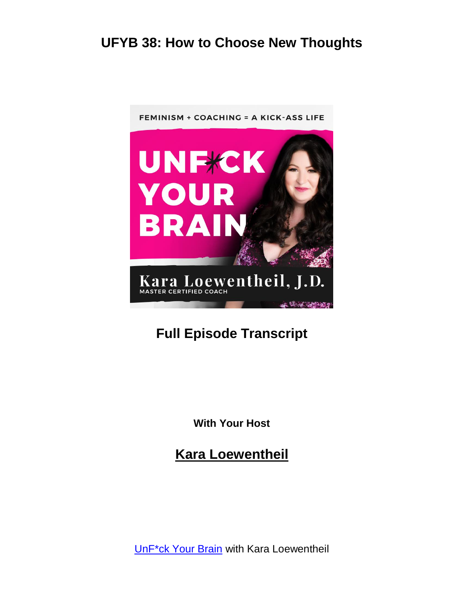

# **Full Episode Transcript**

**With Your Host**

**Kara Loewentheil**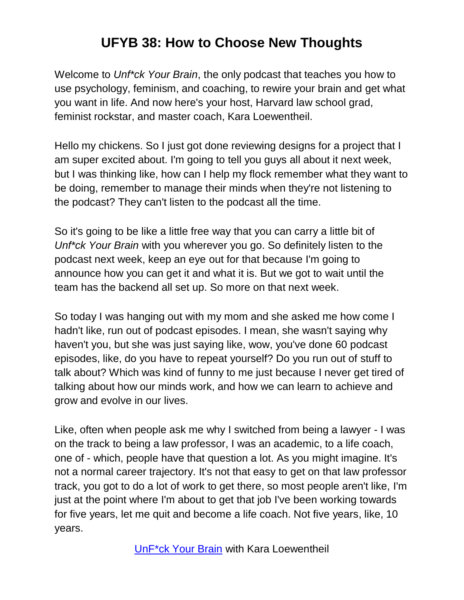Welcome to *Unf\*ck Your Brain*, the only podcast that teaches you how to use psychology, feminism, and coaching, to rewire your brain and get what you want in life. And now here's your host, Harvard law school grad, feminist rockstar, and master coach, Kara Loewentheil.

Hello my chickens. So I just got done reviewing designs for a project that I am super excited about. I'm going to tell you guys all about it next week, but I was thinking like, how can I help my flock remember what they want to be doing, remember to manage their minds when they're not listening to the podcast? They can't listen to the podcast all the time.

So it's going to be like a little free way that you can carry a little bit of *Unf\*ck Your Brain* with you wherever you go. So definitely listen to the podcast next week, keep an eye out for that because I'm going to announce how you can get it and what it is. But we got to wait until the team has the backend all set up. So more on that next week.

So today I was hanging out with my mom and she asked me how come I hadn't like, run out of podcast episodes. I mean, she wasn't saying why haven't you, but she was just saying like, wow, you've done 60 podcast episodes, like, do you have to repeat yourself? Do you run out of stuff to talk about? Which was kind of funny to me just because I never get tired of talking about how our minds work, and how we can learn to achieve and grow and evolve in our lives.

Like, often when people ask me why I switched from being a lawyer - I was on the track to being a law professor, I was an academic, to a life coach, one of - which, people have that question a lot. As you might imagine. It's not a normal career trajectory. It's not that easy to get on that law professor track, you got to do a lot of work to get there, so most people aren't like, I'm just at the point where I'm about to get that job I've been working towards for five years, let me quit and become a life coach. Not five years, like, 10 years.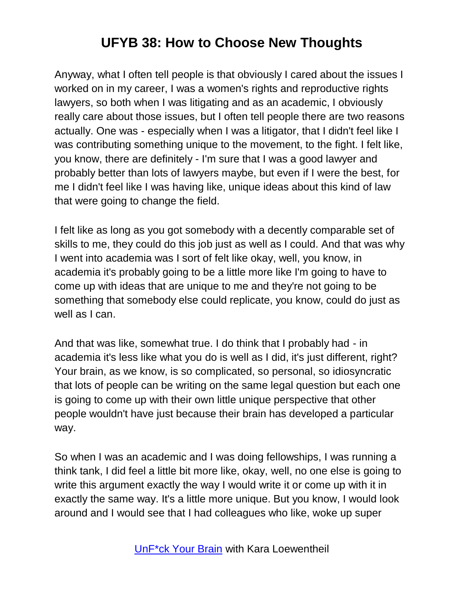Anyway, what I often tell people is that obviously I cared about the issues I worked on in my career, I was a women's rights and reproductive rights lawyers, so both when I was litigating and as an academic, I obviously really care about those issues, but I often tell people there are two reasons actually. One was - especially when I was a litigator, that I didn't feel like I was contributing something unique to the movement, to the fight. I felt like, you know, there are definitely - I'm sure that I was a good lawyer and probably better than lots of lawyers maybe, but even if I were the best, for me I didn't feel like I was having like, unique ideas about this kind of law that were going to change the field.

I felt like as long as you got somebody with a decently comparable set of skills to me, they could do this job just as well as I could. And that was why I went into academia was I sort of felt like okay, well, you know, in academia it's probably going to be a little more like I'm going to have to come up with ideas that are unique to me and they're not going to be something that somebody else could replicate, you know, could do just as well as I can.

And that was like, somewhat true. I do think that I probably had - in academia it's less like what you do is well as I did, it's just different, right? Your brain, as we know, is so complicated, so personal, so idiosyncratic that lots of people can be writing on the same legal question but each one is going to come up with their own little unique perspective that other people wouldn't have just because their brain has developed a particular way.

So when I was an academic and I was doing fellowships, I was running a think tank, I did feel a little bit more like, okay, well, no one else is going to write this argument exactly the way I would write it or come up with it in exactly the same way. It's a little more unique. But you know, I would look around and I would see that I had colleagues who like, woke up super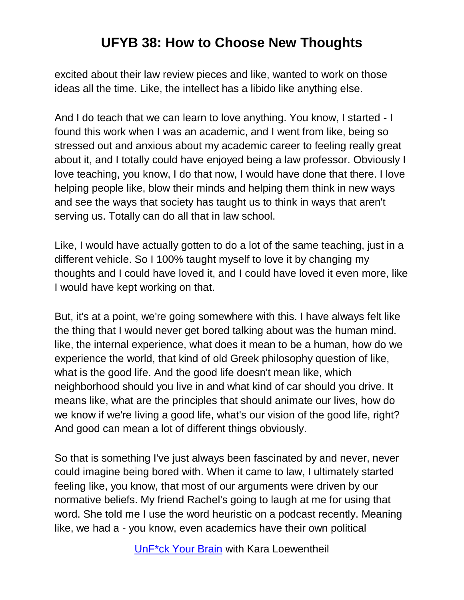excited about their law review pieces and like, wanted to work on those ideas all the time. Like, the intellect has a libido like anything else.

And I do teach that we can learn to love anything. You know, I started - I found this work when I was an academic, and I went from like, being so stressed out and anxious about my academic career to feeling really great about it, and I totally could have enjoyed being a law professor. Obviously I love teaching, you know, I do that now, I would have done that there. I love helping people like, blow their minds and helping them think in new ways and see the ways that society has taught us to think in ways that aren't serving us. Totally can do all that in law school.

Like, I would have actually gotten to do a lot of the same teaching, just in a different vehicle. So I 100% taught myself to love it by changing my thoughts and I could have loved it, and I could have loved it even more, like I would have kept working on that.

But, it's at a point, we're going somewhere with this. I have always felt like the thing that I would never get bored talking about was the human mind. like, the internal experience, what does it mean to be a human, how do we experience the world, that kind of old Greek philosophy question of like, what is the good life. And the good life doesn't mean like, which neighborhood should you live in and what kind of car should you drive. It means like, what are the principles that should animate our lives, how do we know if we're living a good life, what's our vision of the good life, right? And good can mean a lot of different things obviously.

So that is something I've just always been fascinated by and never, never could imagine being bored with. When it came to law, I ultimately started feeling like, you know, that most of our arguments were driven by our normative beliefs. My friend Rachel's going to laugh at me for using that word. She told me I use the word heuristic on a podcast recently. Meaning like, we had a - you know, even academics have their own political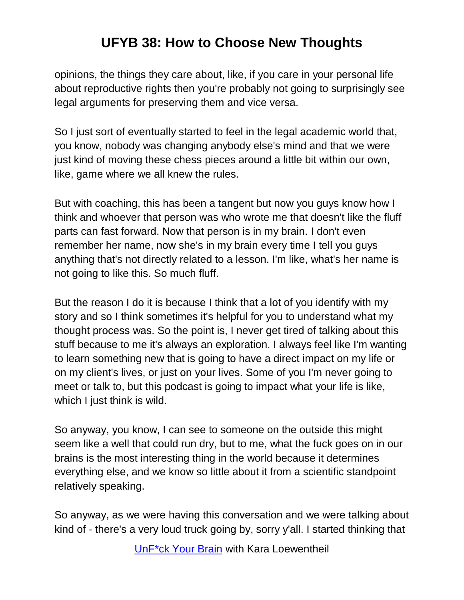opinions, the things they care about, like, if you care in your personal life about reproductive rights then you're probably not going to surprisingly see legal arguments for preserving them and vice versa.

So I just sort of eventually started to feel in the legal academic world that, you know, nobody was changing anybody else's mind and that we were just kind of moving these chess pieces around a little bit within our own, like, game where we all knew the rules.

But with coaching, this has been a tangent but now you guys know how I think and whoever that person was who wrote me that doesn't like the fluff parts can fast forward. Now that person is in my brain. I don't even remember her name, now she's in my brain every time I tell you guys anything that's not directly related to a lesson. I'm like, what's her name is not going to like this. So much fluff.

But the reason I do it is because I think that a lot of you identify with my story and so I think sometimes it's helpful for you to understand what my thought process was. So the point is, I never get tired of talking about this stuff because to me it's always an exploration. I always feel like I'm wanting to learn something new that is going to have a direct impact on my life or on my client's lives, or just on your lives. Some of you I'm never going to meet or talk to, but this podcast is going to impact what your life is like, which I just think is wild.

So anyway, you know, I can see to someone on the outside this might seem like a well that could run dry, but to me, what the fuck goes on in our brains is the most interesting thing in the world because it determines everything else, and we know so little about it from a scientific standpoint relatively speaking.

So anyway, as we were having this conversation and we were talking about kind of - there's a very loud truck going by, sorry y'all. I started thinking that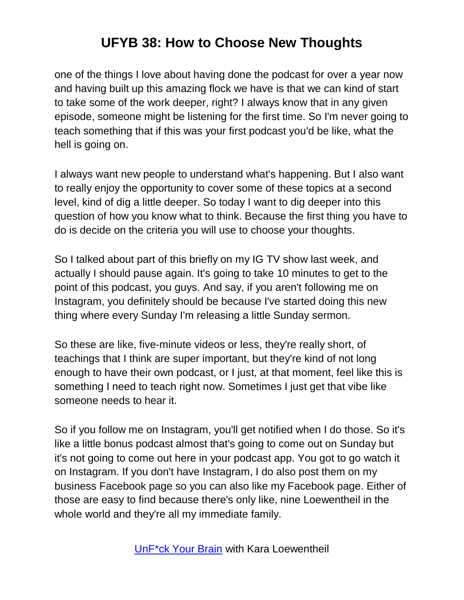one of the things I love about having done the podcast for over a year now and having built up this amazing flock we have is that we can kind of start to take some of the work deeper, right? I always know that in any given episode, someone might be listening for the first time. So I'm never going to teach something that if this was your first podcast you'd be like, what the hell is going on.

I always want new people to understand what's happening. But I also want to really enjoy the opportunity to cover some of these topics at a second level, kind of dig a little deeper. So today I want to dig deeper into this question of how you know what to think. Because the first thing you have to do is decide on the criteria you will use to choose your thoughts.

So I talked about part of this briefly on my IG TV show last week, and actually I should pause again. It's going to take 10 minutes to get to the point of this podcast, you guys. And say, if you aren't following me on Instagram, you definitely should be because I've started doing this new thing where every Sunday I'm releasing a little Sunday sermon.

So these are like, five-minute videos or less, they're really short, of teachings that I think are super important, but they're kind of not long enough to have their own podcast, or I just, at that moment, feel like this is something I need to teach right now. Sometimes I just get that vibe like someone needs to hear it.

So if you follow me on Instagram, you'll get notified when I do those. So it's like a little bonus podcast almost that's going to come out on Sunday but it's not going to come out here in your podcast app. You got to go watch it on Instagram. If you don't have Instagram, I do also post them on my business Facebook page so you can also like my Facebook page. Either of those are easy to find because there's only like, nine Loewentheil in the whole world and they're all my immediate family.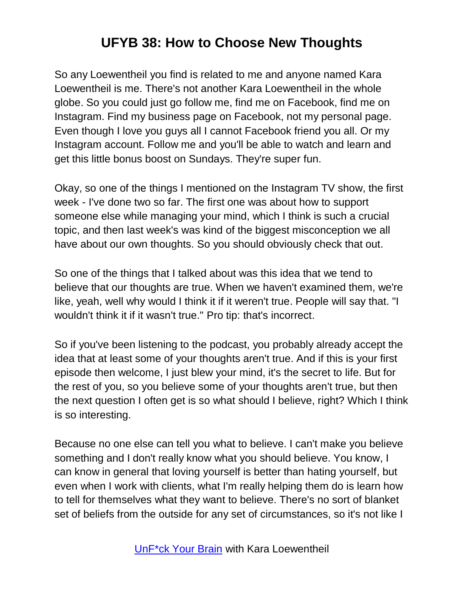So any Loewentheil you find is related to me and anyone named Kara Loewentheil is me. There's not another Kara Loewentheil in the whole globe. So you could just go follow me, find me on Facebook, find me on Instagram. Find my business page on Facebook, not my personal page. Even though I love you guys all I cannot Facebook friend you all. Or my Instagram account. Follow me and you'll be able to watch and learn and get this little bonus boost on Sundays. They're super fun.

Okay, so one of the things I mentioned on the Instagram TV show, the first week - I've done two so far. The first one was about how to support someone else while managing your mind, which I think is such a crucial topic, and then last week's was kind of the biggest misconception we all have about our own thoughts. So you should obviously check that out.

So one of the things that I talked about was this idea that we tend to believe that our thoughts are true. When we haven't examined them, we're like, yeah, well why would I think it if it weren't true. People will say that. "I wouldn't think it if it wasn't true." Pro tip: that's incorrect.

So if you've been listening to the podcast, you probably already accept the idea that at least some of your thoughts aren't true. And if this is your first episode then welcome, I just blew your mind, it's the secret to life. But for the rest of you, so you believe some of your thoughts aren't true, but then the next question I often get is so what should I believe, right? Which I think is so interesting.

Because no one else can tell you what to believe. I can't make you believe something and I don't really know what you should believe. You know, I can know in general that loving yourself is better than hating yourself, but even when I work with clients, what I'm really helping them do is learn how to tell for themselves what they want to believe. There's no sort of blanket set of beliefs from the outside for any set of circumstances, so it's not like I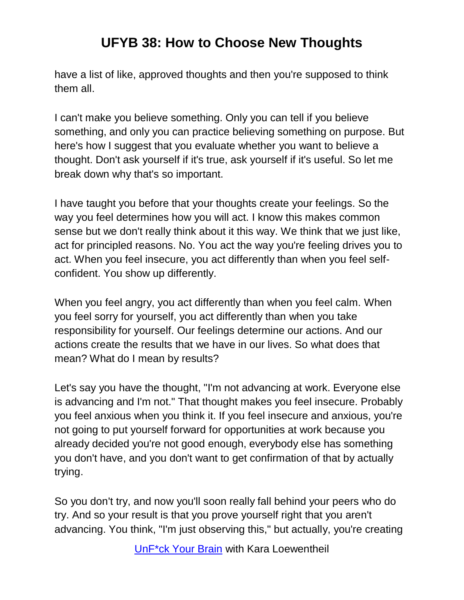have a list of like, approved thoughts and then you're supposed to think them all.

I can't make you believe something. Only you can tell if you believe something, and only you can practice believing something on purpose. But here's how I suggest that you evaluate whether you want to believe a thought. Don't ask yourself if it's true, ask yourself if it's useful. So let me break down why that's so important.

I have taught you before that your thoughts create your feelings. So the way you feel determines how you will act. I know this makes common sense but we don't really think about it this way. We think that we just like, act for principled reasons. No. You act the way you're feeling drives you to act. When you feel insecure, you act differently than when you feel selfconfident. You show up differently.

When you feel angry, you act differently than when you feel calm. When you feel sorry for yourself, you act differently than when you take responsibility for yourself. Our feelings determine our actions. And our actions create the results that we have in our lives. So what does that mean? What do I mean by results?

Let's say you have the thought, "I'm not advancing at work. Everyone else is advancing and I'm not." That thought makes you feel insecure. Probably you feel anxious when you think it. If you feel insecure and anxious, you're not going to put yourself forward for opportunities at work because you already decided you're not good enough, everybody else has something you don't have, and you don't want to get confirmation of that by actually trying.

So you don't try, and now you'll soon really fall behind your peers who do try. And so your result is that you prove yourself right that you aren't advancing. You think, "I'm just observing this," but actually, you're creating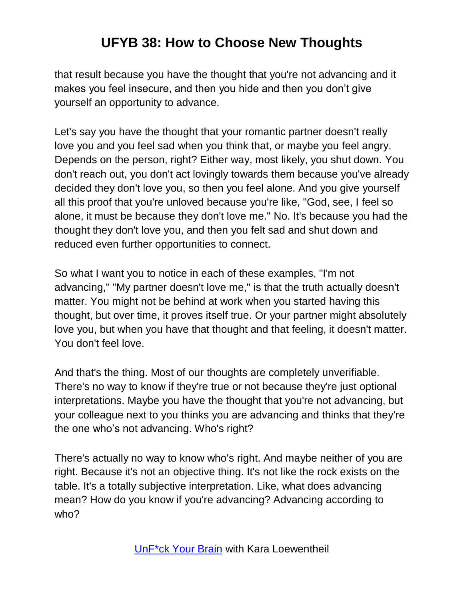that result because you have the thought that you're not advancing and it makes you feel insecure, and then you hide and then you don't give yourself an opportunity to advance.

Let's say you have the thought that your romantic partner doesn't really love you and you feel sad when you think that, or maybe you feel angry. Depends on the person, right? Either way, most likely, you shut down. You don't reach out, you don't act lovingly towards them because you've already decided they don't love you, so then you feel alone. And you give yourself all this proof that you're unloved because you're like, "God, see, I feel so alone, it must be because they don't love me." No. It's because you had the thought they don't love you, and then you felt sad and shut down and reduced even further opportunities to connect.

So what I want you to notice in each of these examples, "I'm not advancing," "My partner doesn't love me," is that the truth actually doesn't matter. You might not be behind at work when you started having this thought, but over time, it proves itself true. Or your partner might absolutely love you, but when you have that thought and that feeling, it doesn't matter. You don't feel love.

And that's the thing. Most of our thoughts are completely unverifiable. There's no way to know if they're true or not because they're just optional interpretations. Maybe you have the thought that you're not advancing, but your colleague next to you thinks you are advancing and thinks that they're the one who's not advancing. Who's right?

There's actually no way to know who's right. And maybe neither of you are right. Because it's not an objective thing. It's not like the rock exists on the table. It's a totally subjective interpretation. Like, what does advancing mean? How do you know if you're advancing? Advancing according to who?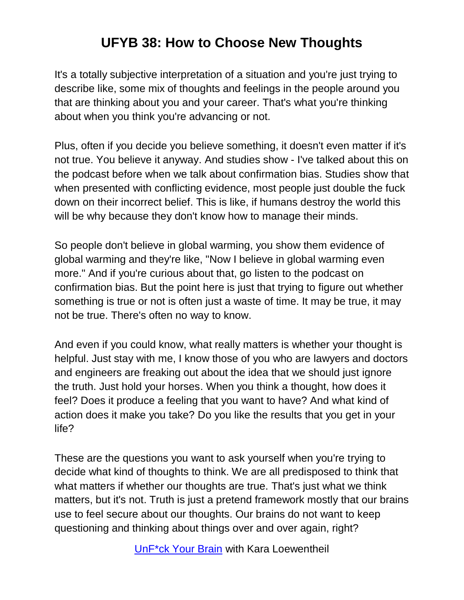It's a totally subjective interpretation of a situation and you're just trying to describe like, some mix of thoughts and feelings in the people around you that are thinking about you and your career. That's what you're thinking about when you think you're advancing or not.

Plus, often if you decide you believe something, it doesn't even matter if it's not true. You believe it anyway. And studies show - I've talked about this on the podcast before when we talk about confirmation bias. Studies show that when presented with conflicting evidence, most people just double the fuck down on their incorrect belief. This is like, if humans destroy the world this will be why because they don't know how to manage their minds.

So people don't believe in global warming, you show them evidence of global warming and they're like, "Now I believe in global warming even more." And if you're curious about that, go listen to the podcast on confirmation bias. But the point here is just that trying to figure out whether something is true or not is often just a waste of time. It may be true, it may not be true. There's often no way to know.

And even if you could know, what really matters is whether your thought is helpful. Just stay with me, I know those of you who are lawyers and doctors and engineers are freaking out about the idea that we should just ignore the truth. Just hold your horses. When you think a thought, how does it feel? Does it produce a feeling that you want to have? And what kind of action does it make you take? Do you like the results that you get in your life?

These are the questions you want to ask yourself when you're trying to decide what kind of thoughts to think. We are all predisposed to think that what matters if whether our thoughts are true. That's just what we think matters, but it's not. Truth is just a pretend framework mostly that our brains use to feel secure about our thoughts. Our brains do not want to keep questioning and thinking about things over and over again, right?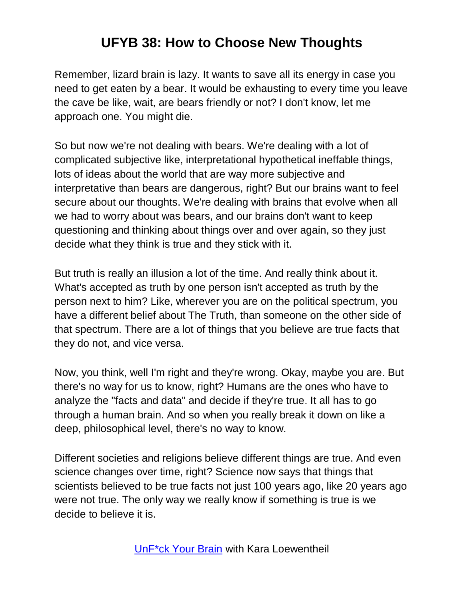Remember, lizard brain is lazy. It wants to save all its energy in case you need to get eaten by a bear. It would be exhausting to every time you leave the cave be like, wait, are bears friendly or not? I don't know, let me approach one. You might die.

So but now we're not dealing with bears. We're dealing with a lot of complicated subjective like, interpretational hypothetical ineffable things, lots of ideas about the world that are way more subjective and interpretative than bears are dangerous, right? But our brains want to feel secure about our thoughts. We're dealing with brains that evolve when all we had to worry about was bears, and our brains don't want to keep questioning and thinking about things over and over again, so they just decide what they think is true and they stick with it.

But truth is really an illusion a lot of the time. And really think about it. What's accepted as truth by one person isn't accepted as truth by the person next to him? Like, wherever you are on the political spectrum, you have a different belief about The Truth, than someone on the other side of that spectrum. There are a lot of things that you believe are true facts that they do not, and vice versa.

Now, you think, well I'm right and they're wrong. Okay, maybe you are. But there's no way for us to know, right? Humans are the ones who have to analyze the "facts and data" and decide if they're true. It all has to go through a human brain. And so when you really break it down on like a deep, philosophical level, there's no way to know.

Different societies and religions believe different things are true. And even science changes over time, right? Science now says that things that scientists believed to be true facts not just 100 years ago, like 20 years ago were not true. The only way we really know if something is true is we decide to believe it is.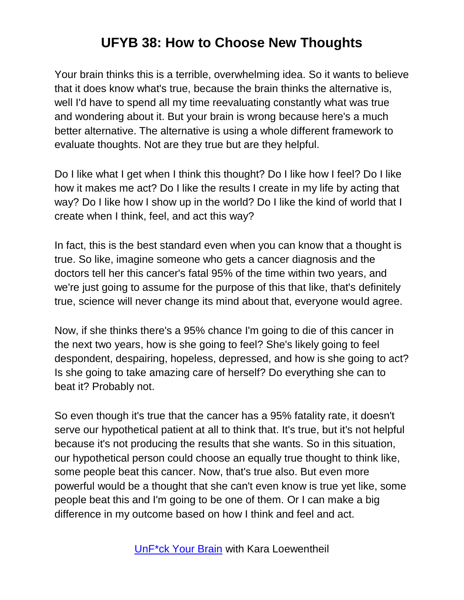Your brain thinks this is a terrible, overwhelming idea. So it wants to believe that it does know what's true, because the brain thinks the alternative is, well I'd have to spend all my time reevaluating constantly what was true and wondering about it. But your brain is wrong because here's a much better alternative. The alternative is using a whole different framework to evaluate thoughts. Not are they true but are they helpful.

Do I like what I get when I think this thought? Do I like how I feel? Do I like how it makes me act? Do I like the results I create in my life by acting that way? Do I like how I show up in the world? Do I like the kind of world that I create when I think, feel, and act this way?

In fact, this is the best standard even when you can know that a thought is true. So like, imagine someone who gets a cancer diagnosis and the doctors tell her this cancer's fatal 95% of the time within two years, and we're just going to assume for the purpose of this that like, that's definitely true, science will never change its mind about that, everyone would agree.

Now, if she thinks there's a 95% chance I'm going to die of this cancer in the next two years, how is she going to feel? She's likely going to feel despondent, despairing, hopeless, depressed, and how is she going to act? Is she going to take amazing care of herself? Do everything she can to beat it? Probably not.

So even though it's true that the cancer has a 95% fatality rate, it doesn't serve our hypothetical patient at all to think that. It's true, but it's not helpful because it's not producing the results that she wants. So in this situation, our hypothetical person could choose an equally true thought to think like, some people beat this cancer. Now, that's true also. But even more powerful would be a thought that she can't even know is true yet like, some people beat this and I'm going to be one of them. Or I can make a big difference in my outcome based on how I think and feel and act.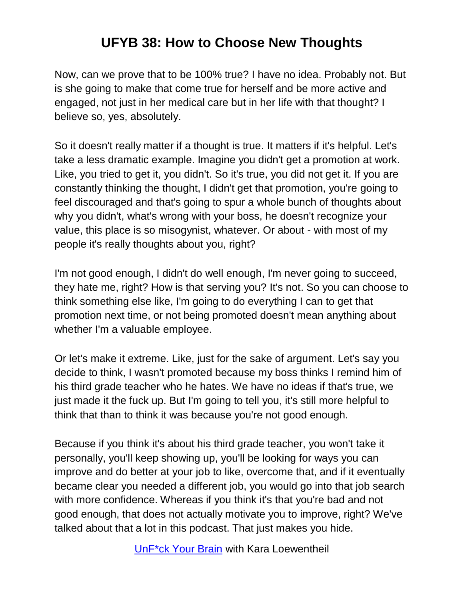Now, can we prove that to be 100% true? I have no idea. Probably not. But is she going to make that come true for herself and be more active and engaged, not just in her medical care but in her life with that thought? I believe so, yes, absolutely.

So it doesn't really matter if a thought is true. It matters if it's helpful. Let's take a less dramatic example. Imagine you didn't get a promotion at work. Like, you tried to get it, you didn't. So it's true, you did not get it. If you are constantly thinking the thought, I didn't get that promotion, you're going to feel discouraged and that's going to spur a whole bunch of thoughts about why you didn't, what's wrong with your boss, he doesn't recognize your value, this place is so misogynist, whatever. Or about - with most of my people it's really thoughts about you, right?

I'm not good enough, I didn't do well enough, I'm never going to succeed, they hate me, right? How is that serving you? It's not. So you can choose to think something else like, I'm going to do everything I can to get that promotion next time, or not being promoted doesn't mean anything about whether I'm a valuable employee.

Or let's make it extreme. Like, just for the sake of argument. Let's say you decide to think, I wasn't promoted because my boss thinks I remind him of his third grade teacher who he hates. We have no ideas if that's true, we just made it the fuck up. But I'm going to tell you, it's still more helpful to think that than to think it was because you're not good enough.

Because if you think it's about his third grade teacher, you won't take it personally, you'll keep showing up, you'll be looking for ways you can improve and do better at your job to like, overcome that, and if it eventually became clear you needed a different job, you would go into that job search with more confidence. Whereas if you think it's that you're bad and not good enough, that does not actually motivate you to improve, right? We've talked about that a lot in this podcast. That just makes you hide.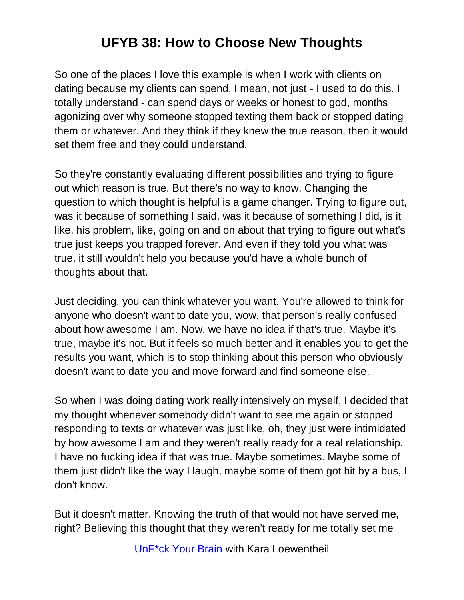So one of the places I love this example is when I work with clients on dating because my clients can spend, I mean, not just - I used to do this. I totally understand - can spend days or weeks or honest to god, months agonizing over why someone stopped texting them back or stopped dating them or whatever. And they think if they knew the true reason, then it would set them free and they could understand.

So they're constantly evaluating different possibilities and trying to figure out which reason is true. But there's no way to know. Changing the question to which thought is helpful is a game changer. Trying to figure out, was it because of something I said, was it because of something I did, is it like, his problem, like, going on and on about that trying to figure out what's true just keeps you trapped forever. And even if they told you what was true, it still wouldn't help you because you'd have a whole bunch of thoughts about that.

Just deciding, you can think whatever you want. You're allowed to think for anyone who doesn't want to date you, wow, that person's really confused about how awesome I am. Now, we have no idea if that's true. Maybe it's true, maybe it's not. But it feels so much better and it enables you to get the results you want, which is to stop thinking about this person who obviously doesn't want to date you and move forward and find someone else.

So when I was doing dating work really intensively on myself, I decided that my thought whenever somebody didn't want to see me again or stopped responding to texts or whatever was just like, oh, they just were intimidated by how awesome I am and they weren't really ready for a real relationship. I have no fucking idea if that was true. Maybe sometimes. Maybe some of them just didn't like the way I laugh, maybe some of them got hit by a bus, I don't know.

But it doesn't matter. Knowing the truth of that would not have served me, right? Believing this thought that they weren't ready for me totally set me